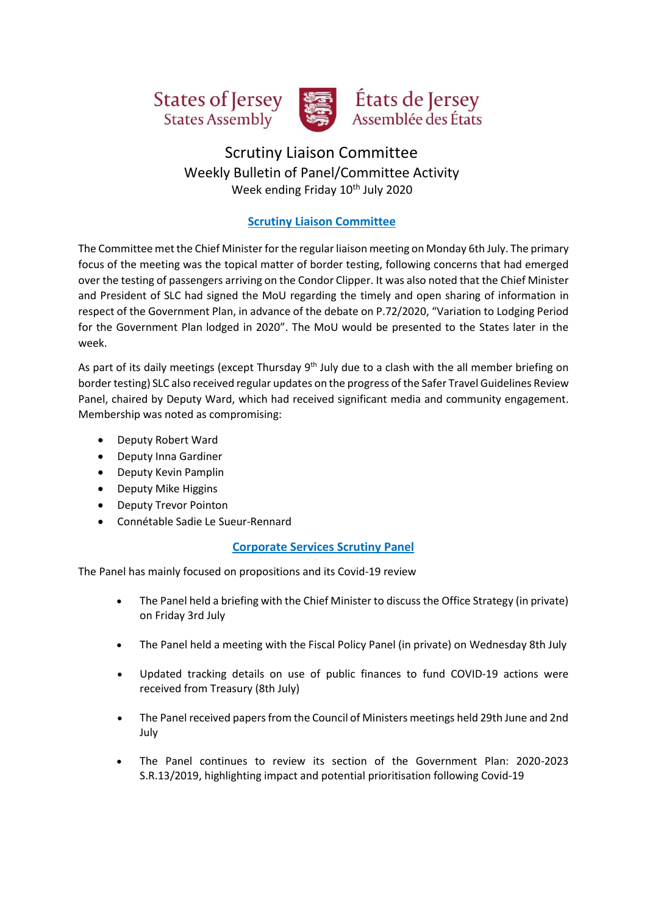



# États de Jersey Assemblée des États

## Scrutiny Liaison Committee Weekly Bulletin of Panel/Committee Activity Week ending Friday 10<sup>th</sup> July 2020

## **Scrutiny Liaison Committee**

The Committee met the Chief Minister for the regular liaison meeting on Monday 6th July. The primary focus of the meeting was the topical matter of border testing, following concerns that had emerged over the testing of passengers arriving on the Condor Clipper. It was also noted that the Chief Minister and President of SLC had signed the MoU regarding the timely and open sharing of information in respect of the Government Plan, in advance of the debate on P.72/2020, "Variation to Lodging Period for the Government Plan lodged in 2020". The MoU would be presented to the States later in the week.

As part of its daily meetings (except Thursday 9<sup>th</sup> July due to a clash with the all member briefing on border testing) SLC also received regular updates on the progress of the Safer Travel Guidelines Review Panel, chaired by Deputy Ward, which had received significant media and community engagement. Membership was noted as compromising:

- Deputy Robert Ward
- Deputy Inna Gardiner
- Deputy Kevin Pamplin
- Deputy Mike Higgins
- Deputy Trevor Pointon
- Connétable Sadie Le Sueur-Rennard

## **Corporate Services Scrutiny Panel**

The Panel has mainly focused on propositions and its Covid-19 review

- The Panel held a briefing with the Chief Minister to discuss the Office Strategy (in private) on Friday 3rd July
- The Panel held a meeting with the Fiscal Policy Panel (in private) on Wednesday 8th July
- Updated tracking details on use of public finances to fund COVID-19 actions were received from Treasury (8th July)
- The Panel received papers from the Council of Ministers meetings held 29th June and 2nd July
- The Panel continues to review its section of the Government Plan: 2020-2023 S.R.13/2019, highlighting impact and potential prioritisation following Covid-19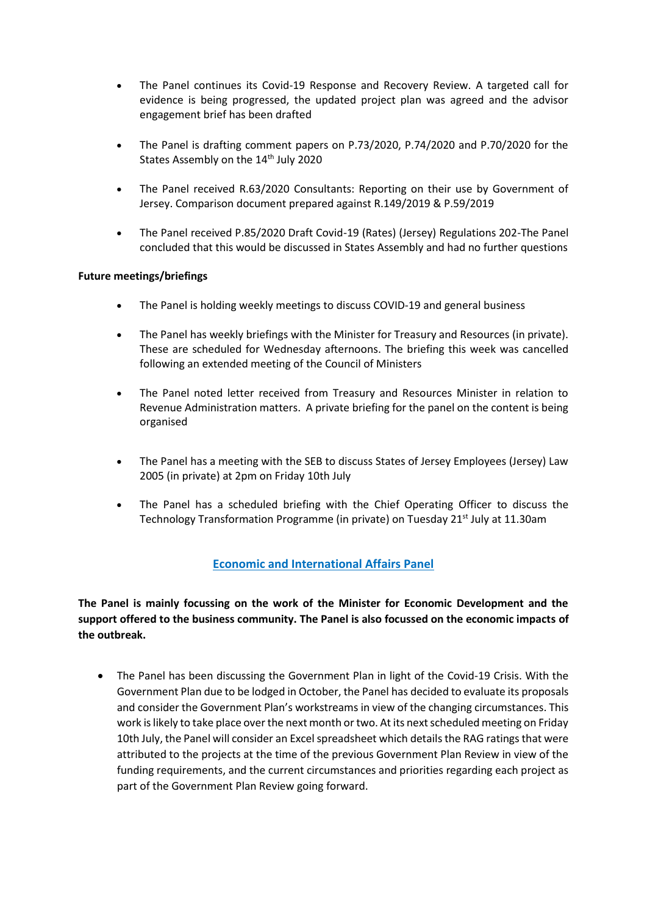- The Panel continues its Covid-19 Response and Recovery Review. A targeted call for evidence is being progressed, the updated project plan was agreed and the advisor engagement brief has been drafted
- The Panel is drafting comment papers on P.73/2020, P.74/2020 and P.70/2020 for the States Assembly on the 14<sup>th</sup> July 2020
- The Panel received R.63/2020 Consultants: Reporting on their use by Government of Jersey. Comparison document prepared against R.149/2019 & P.59/2019
- The Panel received P.85/2020 Draft Covid-19 (Rates) (Jersey) Regulations 202-The Panel concluded that this would be discussed in States Assembly and had no further questions

#### **Future meetings/briefings**

- The Panel is holding weekly meetings to discuss COVID-19 and general business
- The Panel has weekly briefings with the Minister for Treasury and Resources (in private). These are scheduled for Wednesday afternoons. The briefing this week was cancelled following an extended meeting of the Council of Ministers
- The Panel noted letter received from Treasury and Resources Minister in relation to Revenue Administration matters. A private briefing for the panel on the content is being organised
- The Panel has a meeting with the SEB to discuss States of Jersey Employees (Jersey) Law 2005 (in private) at 2pm on Friday 10th July
- The Panel has a scheduled briefing with the Chief Operating Officer to discuss the Technology Transformation Programme (in private) on Tuesday 21<sup>st</sup> July at 11.30am

#### **Economic and International Affairs Panel**

**The Panel is mainly focussing on the work of the Minister for Economic Development and the support offered to the business community. The Panel is also focussed on the economic impacts of the outbreak.**

• The Panel has been discussing the Government Plan in light of the Covid-19 Crisis. With the Government Plan due to be lodged in October, the Panel has decided to evaluate its proposals and consider the Government Plan's workstreams in view of the changing circumstances. This work is likely to take place over the next month or two. At its next scheduled meeting on Friday 10th July, the Panel will consider an Excel spreadsheet which details the RAG ratings that were attributed to the projects at the time of the previous Government Plan Review in view of the funding requirements, and the current circumstances and priorities regarding each project as part of the Government Plan Review going forward.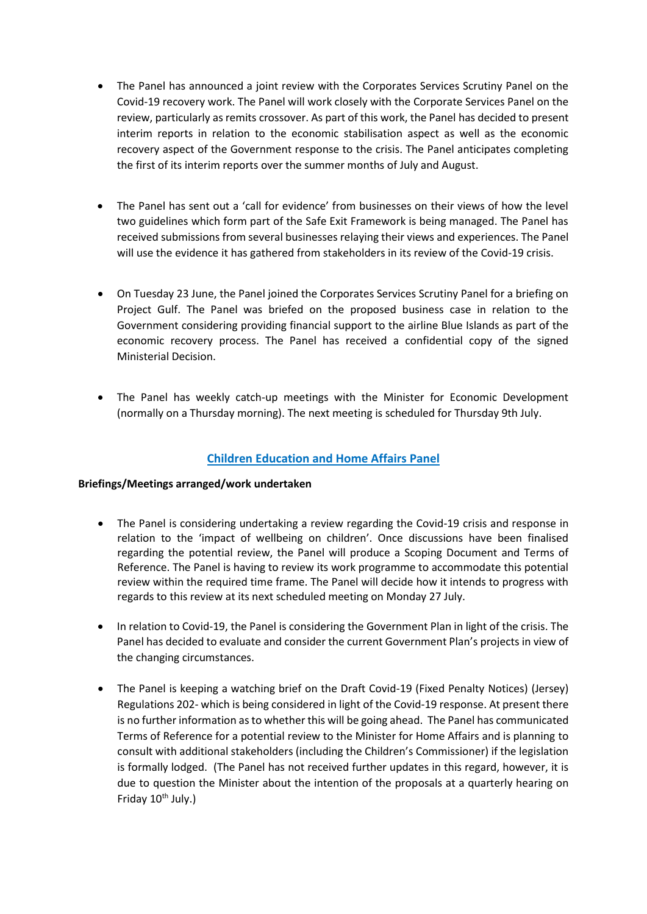- The Panel has announced a joint review with the Corporates Services Scrutiny Panel on the Covid-19 recovery work. The Panel will work closely with the Corporate Services Panel on the review, particularly as remits crossover. As part of this work, the Panel has decided to present interim reports in relation to the economic stabilisation aspect as well as the economic recovery aspect of the Government response to the crisis. The Panel anticipates completing the first of its interim reports over the summer months of July and August.
- The Panel has sent out a 'call for evidence' from businesses on their views of how the level two guidelines which form part of the Safe Exit Framework is being managed. The Panel has received submissions from several businesses relaying their views and experiences. The Panel will use the evidence it has gathered from stakeholders in its review of the Covid-19 crisis.
- On Tuesday 23 June, the Panel joined the Corporates Services Scrutiny Panel for a briefing on Project Gulf. The Panel was briefed on the proposed business case in relation to the Government considering providing financial support to the airline Blue Islands as part of the economic recovery process. The Panel has received a confidential copy of the signed Ministerial Decision.
- The Panel has weekly catch-up meetings with the Minister for Economic Development (normally on a Thursday morning). The next meeting is scheduled for Thursday 9th July.

#### **Children Education and Home Affairs Panel**

#### **Briefings/Meetings arranged/work undertaken**

- The Panel is considering undertaking a review regarding the Covid-19 crisis and response in relation to the 'impact of wellbeing on children'. Once discussions have been finalised regarding the potential review, the Panel will produce a Scoping Document and Terms of Reference. The Panel is having to review its work programme to accommodate this potential review within the required time frame. The Panel will decide how it intends to progress with regards to this review at its next scheduled meeting on Monday 27 July.
- In relation to Covid-19, the Panel is considering the Government Plan in light of the crisis. The Panel has decided to evaluate and consider the current Government Plan's projects in view of the changing circumstances.
- The Panel is keeping a watching brief on the Draft Covid-19 (Fixed Penalty Notices) (Jersey) Regulations 202- which is being considered in light of the Covid-19 response. At present there is no further information as to whether this will be going ahead. The Panel has communicated Terms of Reference for a potential review to the Minister for Home Affairs and is planning to consult with additional stakeholders (including the Children's Commissioner) if the legislation is formally lodged. (The Panel has not received further updates in this regard, however, it is due to question the Minister about the intention of the proposals at a quarterly hearing on Friday  $10^{th}$  July.)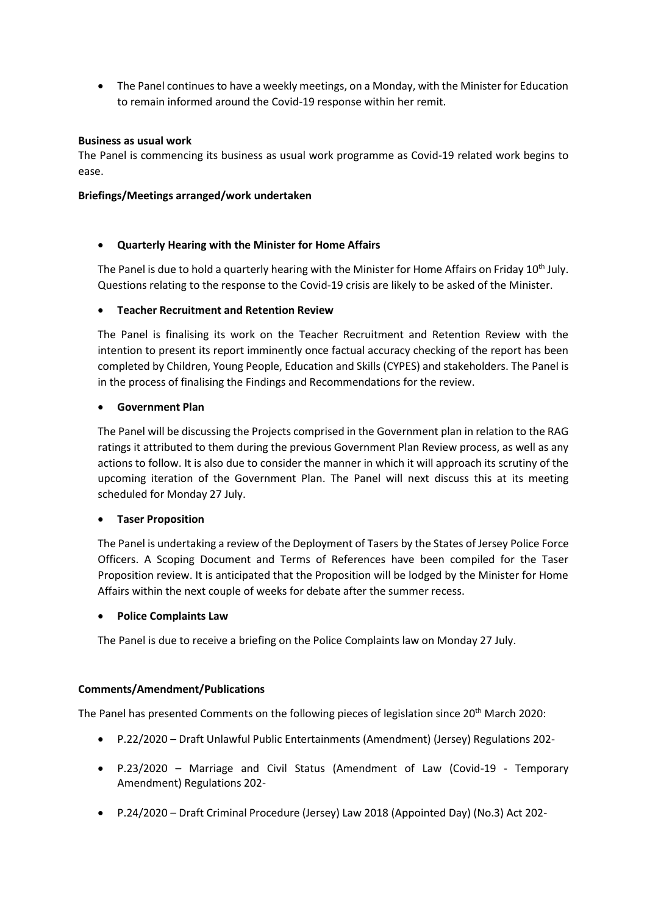• The Panel continues to have a weekly meetings, on a Monday, with the Minister for Education to remain informed around the Covid-19 response within her remit.

#### **Business as usual work**

The Panel is commencing its business as usual work programme as Covid-19 related work begins to ease.

#### **Briefings/Meetings arranged/work undertaken**

#### • **Quarterly Hearing with the Minister for Home Affairs**

The Panel is due to hold a quarterly hearing with the Minister for Home Affairs on Friday 10<sup>th</sup> July. Questions relating to the response to the Covid-19 crisis are likely to be asked of the Minister.

#### • **Teacher Recruitment and Retention Review**

The Panel is finalising its work on the Teacher Recruitment and Retention Review with the intention to present its report imminently once factual accuracy checking of the report has been completed by Children, Young People, Education and Skills (CYPES) and stakeholders. The Panel is in the process of finalising the Findings and Recommendations for the review.

#### • **Government Plan**

The Panel will be discussing the Projects comprised in the Government plan in relation to the RAG ratings it attributed to them during the previous Government Plan Review process, as well as any actions to follow. It is also due to consider the manner in which it will approach its scrutiny of the upcoming iteration of the Government Plan. The Panel will next discuss this at its meeting scheduled for Monday 27 July.

#### • **Taser Proposition**

The Panel is undertaking a review of the Deployment of Tasers by the States of Jersey Police Force Officers. A Scoping Document and Terms of References have been compiled for the Taser Proposition review. It is anticipated that the Proposition will be lodged by the Minister for Home Affairs within the next couple of weeks for debate after the summer recess.

#### • **Police Complaints Law**

The Panel is due to receive a briefing on the Police Complaints law on Monday 27 July.

#### **Comments/Amendment/Publications**

The Panel has presented Comments on the following pieces of legislation since 20<sup>th</sup> March 2020:

- P.22/2020 Draft Unlawful Public Entertainments (Amendment) (Jersey) Regulations 202-
- P.23/2020 Marriage and Civil Status (Amendment of Law (Covid-19 Temporary Amendment) Regulations 202-
- P.24/2020 Draft Criminal Procedure (Jersey) Law 2018 (Appointed Day) (No.3) Act 202-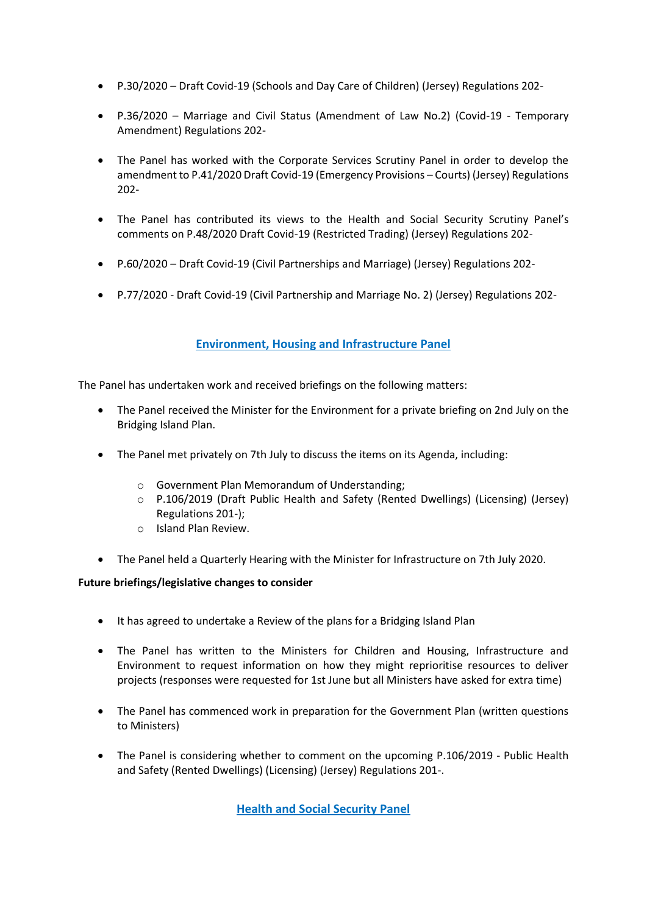- P.30/2020 Draft Covid-19 (Schools and Day Care of Children) (Jersey) Regulations 202-
- P.36/2020 Marriage and Civil Status (Amendment of Law No.2) (Covid-19 Temporary Amendment) Regulations 202-
- The Panel has worked with the Corporate Services Scrutiny Panel in order to develop the amendment to P.41/2020 Draft Covid-19 (Emergency Provisions – Courts) (Jersey) Regulations 202-
- The Panel has contributed its views to the Health and Social Security Scrutiny Panel's comments on P.48/2020 Draft Covid-19 (Restricted Trading) (Jersey) Regulations 202-
- P.60/2020 Draft Covid-19 (Civil Partnerships and Marriage) (Jersey) Regulations 202-
- P.77/2020 Draft Covid-19 (Civil Partnership and Marriage No. 2) (Jersey) Regulations 202-

## **Environment, Housing and Infrastructure Panel**

The Panel has undertaken work and received briefings on the following matters:

- The Panel received the Minister for the Environment for a private briefing on 2nd July on the Bridging Island Plan.
- The Panel met privately on 7th July to discuss the items on its Agenda, including:
	- o Government Plan Memorandum of Understanding;
	- o P.106/2019 (Draft Public Health and Safety (Rented Dwellings) (Licensing) (Jersey) Regulations 201-);
	- o Island Plan Review.
- The Panel held a Quarterly Hearing with the Minister for Infrastructure on 7th July 2020.

#### **Future briefings/legislative changes to consider**

- It has agreed to undertake a Review of the plans for a Bridging Island Plan
- The Panel has written to the Ministers for Children and Housing, Infrastructure and Environment to request information on how they might reprioritise resources to deliver projects (responses were requested for 1st June but all Ministers have asked for extra time)
- The Panel has commenced work in preparation for the Government Plan (written questions to Ministers)
- The Panel is considering whether to comment on the upcoming P.106/2019 Public Health and Safety (Rented Dwellings) (Licensing) (Jersey) Regulations 201-.

**Health and Social Security Panel**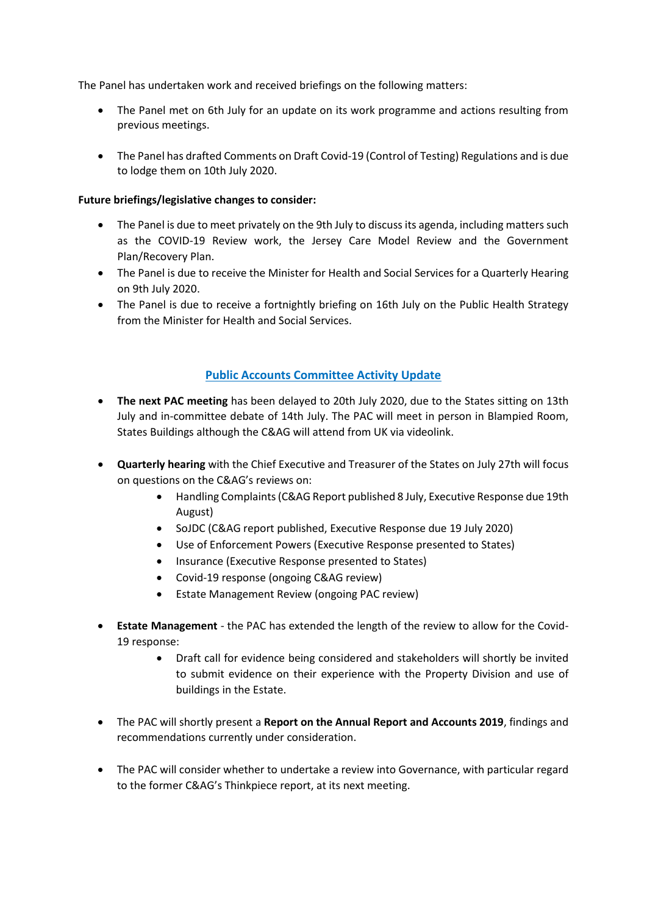The Panel has undertaken work and received briefings on the following matters:

- The Panel met on 6th July for an update on its work programme and actions resulting from previous meetings.
- The Panel has drafted Comments on Draft Covid-19 (Control of Testing) Regulations and is due to lodge them on 10th July 2020.

#### **Future briefings/legislative changes to consider:**

- The Panel is due to meet privately on the 9th July to discuss its agenda, including matters such as the COVID-19 Review work, the Jersey Care Model Review and the Government Plan/Recovery Plan.
- The Panel is due to receive the Minister for Health and Social Services for a Quarterly Hearing on 9th July 2020.
- The Panel is due to receive a fortnightly briefing on 16th July on the Public Health Strategy from the Minister for Health and Social Services.

## **Public Accounts Committee Activity Update**

- **The next PAC meeting** has been delayed to 20th July 2020, due to the States sitting on 13th July and in-committee debate of 14th July. The PAC will meet in person in Blampied Room, States Buildings although the C&AG will attend from UK via videolink.
- **Quarterly hearing** with the Chief Executive and Treasurer of the States on July 27th will focus on questions on the C&AG's reviews on:
	- Handling Complaints (C&AG Report published 8 July, Executive Response due 19th August)
	- SoJDC (C&AG report published, Executive Response due 19 July 2020)
	- Use of Enforcement Powers (Executive Response presented to States)
	- Insurance (Executive Response presented to States)
	- Covid-19 response (ongoing C&AG review)
	- Estate Management Review (ongoing PAC review)
- **Estate Management** the PAC has extended the length of the review to allow for the Covid-19 response:
	- Draft call for evidence being considered and stakeholders will shortly be invited to submit evidence on their experience with the Property Division and use of buildings in the Estate.
- The PAC will shortly present a **Report on the Annual Report and Accounts 2019**, findings and recommendations currently under consideration.
- The PAC will consider whether to undertake a review into Governance, with particular regard to the former C&AG's Thinkpiece report, at its next meeting.